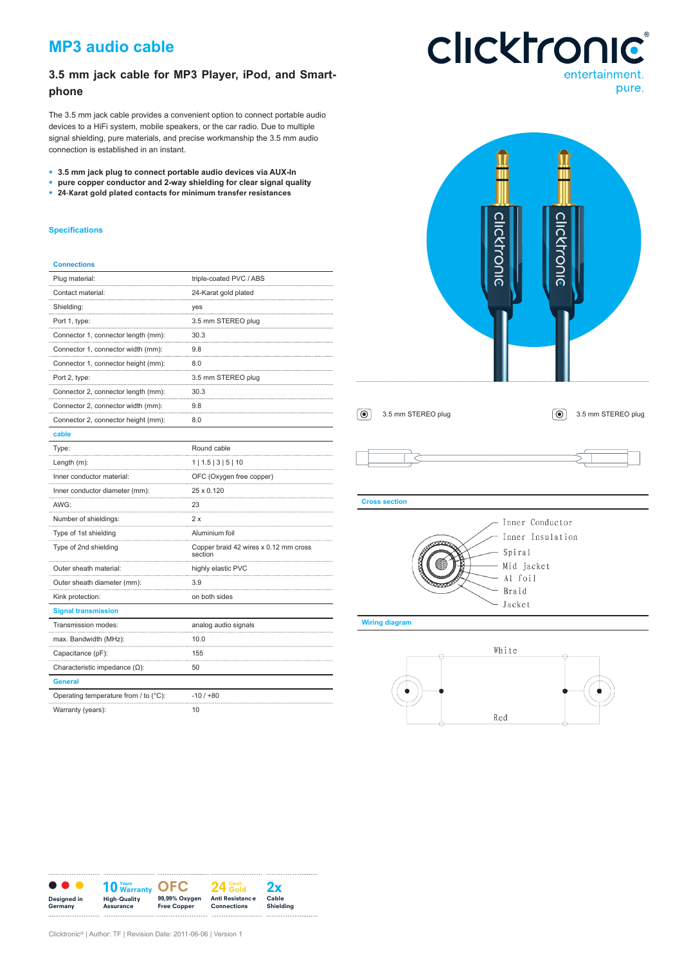# **MP3 audio cable**

## **3.5 mm jack cable for MP3 Player, iPod, and Smartphone**

The 3.5 mm jack cable provides a convenient option to connect portable audio devices to a HiFi system, mobile speakers, or the car radio. Due to multiple signal shielding, pure materials, and precise workmanship the 3.5 mm audio connection is established in an instant.

- **• 3.5 mm jack plug to connect portable audio devices via AUX-In**
- **• pure copper conductor and 2-way shielding for clear signal quality**
- **• 24-Karat gold plated contacts for minimum transfer resistances**

#### **Specifications**

### **Connections**

| Plug material:                        | triple-coated PVC / ABS                          |
|---------------------------------------|--------------------------------------------------|
| Contact material:                     | 24-Karat gold plated                             |
| Shielding:                            | yes                                              |
| Port 1, type:                         | 3.5 mm STEREO plug                               |
| Connector 1, connector length (mm):   | 30.3                                             |
| Connector 1, connector width (mm):    | 9.8                                              |
| Connector 1, connector height (mm):   | 8.0                                              |
| Port 2, type:                         | 3.5 mm STEREO plug<br>                           |
| Connector 2, connector length (mm):   | 30.3                                             |
| Connector 2, connector width (mm):    | 9.8                                              |
| Connector 2, connector height (mm):   | 8.0                                              |
| cable                                 |                                                  |
| Type:                                 | Round cable                                      |
| Length $(m)$ :                        | 1   1.5   3   5   10                             |
| Inner conductor material:             | OFC (Oxygen free copper)                         |
| Inner conductor diameter (mm):        | 25 x 0.120                                       |
| AWG:                                  | 23                                               |
| Number of shieldings:                 | 2 x                                              |
| Type of 1st shielding                 | Aluminium foil                                   |
| Type of 2nd shielding                 | Copper braid 42 wires x 0.12 mm cross<br>section |
| Outer sheath material:                | highly elastic PVC                               |
| Outer sheath diameter (mm):           | 3.9                                              |
| Kink protection:                      | on both sides                                    |
| <b>Signal transmission</b>            |                                                  |
| Transmission modes:                   | analog audio signals                             |
| max. Bandwidth (MHz):                 | 10.0                                             |
| Capacitance (pF):                     | 155                                              |
| Characteristic impedance $(\Omega)$ : | 50                                               |
| <b>General</b>                        |                                                  |
| Operating temperature from / to (°C): | $-10/100$                                        |
| Warranty (years):                     | 10                                               |

# **Clicktronic**® entertainment. pure.



White Red